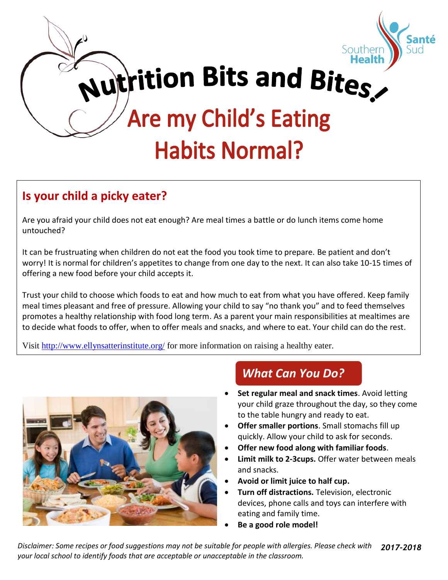

# **Is your child a picky eater?**

Are you afraid your child does not eat enough? Are meal times a battle or do lunch items come home untouched?

It can be frustruating when children do not eat the food you took time to prepare. Be patient and don't worry! It is normal for children's appetites to change from one day to the next. It can also take 10-15 times of offering a new food before your child accepts it.

Trust your child to choose which foods to eat and how much to eat from what you have offered. Keep family meal times pleasant and free of pressure. Allowing your child to say "no thank you" and to feed themselves promotes a healthy relationship with food long term. As a parent your main responsibilities at mealtimes are to decide what foods to offer, when to offer meals and snacks, and where to eat. Your child can do the rest.

Visit<http://www.ellynsatterinstitute.org/> for more information on raising a healthy eater.



# *What Can You Do?*

- **Set regular meal and snack times**. Avoid letting your child graze throughout the day, so they come to the table hungry and ready to eat.
- **Offer smaller portions**. Small stomachs fill up quickly. Allow your child to ask for seconds.
- **Offer new food along with familiar foods**.
- **Limit milk to 2-3cups.** Offer water between meals and snacks.
- **Avoid or limit juice to half cup.**
- **Turn off distractions.** Television, electronic devices, phone calls and toys can interfere with eating and family time.
- **Be a good role model!**